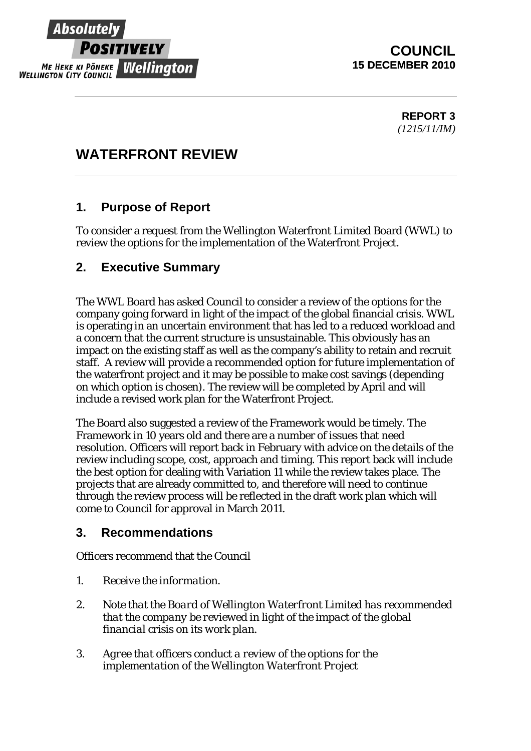

## **COUNCIL 15 DECEMBER 2010**

**REPORT 3**  *(1215/11/IM)* 

# **WATERFRONT REVIEW**

## **1. Purpose of Report**

To consider a request from the Wellington Waterfront Limited Board (WWL) to review the options for the implementation of the Waterfront Project.

## **2. Executive Summary**

The WWL Board has asked Council to consider a review of the options for the company going forward in light of the impact of the global financial crisis. WWL is operating in an uncertain environment that has led to a reduced workload and a concern that the current structure is unsustainable. This obviously has an impact on the existing staff as well as the company's ability to retain and recruit staff. A review will provide a recommended option for future implementation of the waterfront project and it may be possible to make cost savings (depending on which option is chosen). The review will be completed by April and will include a revised work plan for the Waterfront Project.

The Board also suggested a review of the Framework would be timely. The Framework in 10 years old and there are a number of issues that need resolution. Officers will report back in February with advice on the details of the review including scope, cost, approach and timing. This report back will include the best option for dealing with Variation 11 while the review takes place. The projects that are already committed to, and therefore will need to continue through the review process will be reflected in the draft work plan which will come to Council for approval in March 2011.

### **3. Recommendations**

Officers recommend that the Council

- 1. *Receive the information.*
- *2. Note that the Board of Wellington Waterfront Limited has recommended that the company be reviewed in light of the impact of the global financial crisis on its work plan.*
- *3. Agree that officers conduct a review of the options for the implementation of the Wellington Waterfront Project*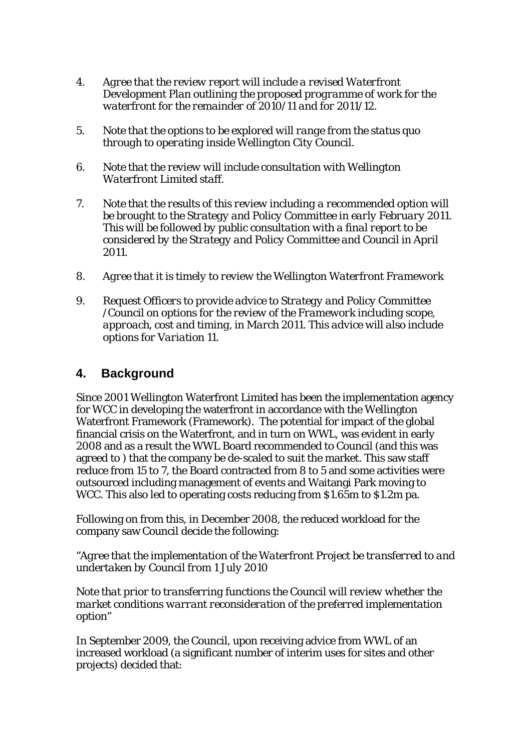- *4. Agree that the review report will include a revised Waterfront Development Plan outlining the proposed programme of work for the waterfront for the remainder of 2010/11 and for 2011/12.*
- *5. Note that the options to be explored will range from the status quo through to operating inside Wellington City Council.*
- *6. Note that the review will include consultation with Wellington Waterfront Limited staff.*
- *7. Note that the results of this review including a recommended option will be brought to the Strategy and Policy Committee in early February 2011. This will be followed by public consultation with a final report to be considered by the Strategy and Policy Committee and Council in April 2011.*
- *8. Agree that it is timely to review the Wellington Waterfront Framework*
- *9. Request Officers to provide advice to Strategy and Policy Committee /Council on options for the review of the Framework including scope, approach, cost and timing, in March 2011. This advice will also include options for Variation 11.*

### **4. Background**

Since 2001 Wellington Waterfront Limited has been the implementation agency for WCC in developing the waterfront in accordance with the Wellington Waterfront Framework (Framework). The potential for impact of the global financial crisis on the Waterfront, and in turn on WWL, was evident in early 2008 and as a result the WWL Board recommended to Council (and this was agreed to ) that the company be de-scaled to suit the market. This saw staff reduce from 15 to 7, the Board contracted from 8 to 5 and some activities were outsourced including management of events and Waitangi Park moving to WCC. This also led to operating costs reducing from \$1.65m to \$1.2m pa.

Following on from this, in December 2008, the reduced workload for the company saw Council decide the following:

*"Agree that the implementation of the Waterfront Project be transferred to and undertaken by Council from 1 July 2010* 

*Note that prior to transferring functions the Council will review whether the market conditions warrant reconsideration of the preferred implementation option"* 

In September 2009, the Council, upon receiving advice from WWL of an increased workload (a significant number of interim uses for sites and other projects) decided that: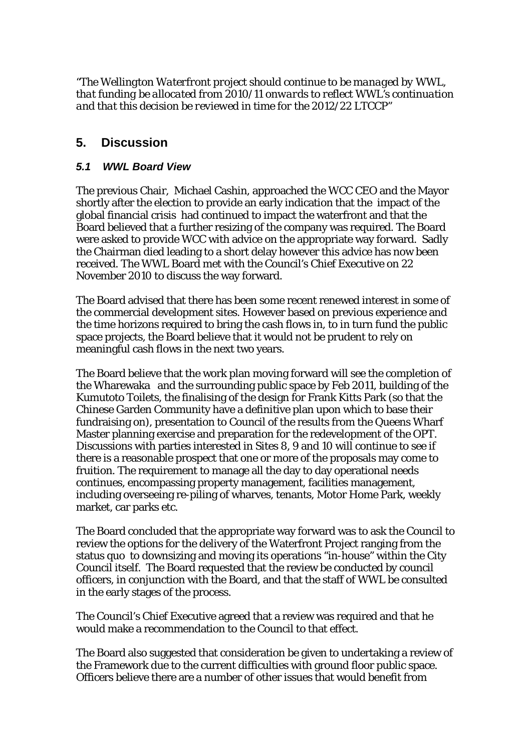*"The Wellington Waterfront project should continue to be managed by WWL, that funding be allocated from 2010/11 onwards to reflect WWL's continuation and that this decision be reviewed in time for the 2012/22 LTCCP"* 

## **5. Discussion**

#### *5.1 WWL Board View*

The previous Chair, Michael Cashin, approached the WCC CEO and the Mayor shortly after the election to provide an early indication that the impact of the global financial crisis had continued to impact the waterfront and that the Board believed that a further resizing of the company was required. The Board were asked to provide WCC with advice on the appropriate way forward. Sadly the Chairman died leading to a short delay however this advice has now been received. The WWL Board met with the Council's Chief Executive on 22 November 2010 to discuss the way forward.

The Board advised that there has been some recent renewed interest in some of the commercial development sites. However based on previous experience and the time horizons required to bring the cash flows in, to in turn fund the public space projects, the Board believe that it would not be prudent to rely on meaningful cash flows in the next two years.

The Board believe that the work plan moving forward will see the completion of the Wharewaka and the surrounding public space by Feb 2011, building of the Kumutoto Toilets, the finalising of the design for Frank Kitts Park (so that the Chinese Garden Community have a definitive plan upon which to base their fundraising on), presentation to Council of the results from the Queens Wharf Master planning exercise and preparation for the redevelopment of the OPT. Discussions with parties interested in Sites 8, 9 and 10 will continue to see if there is a reasonable prospect that one or more of the proposals may come to fruition. The requirement to manage all the day to day operational needs continues, encompassing property management, facilities management, including overseeing re-piling of wharves, tenants, Motor Home Park, weekly market, car parks etc.

The Board concluded that the appropriate way forward was to ask the Council to review the options for the delivery of the Waterfront Project ranging from the status quo to downsizing and moving its operations "in-house" within the City Council itself. The Board requested that the review be conducted by council officers, in conjunction with the Board, and that the staff of WWL be consulted in the early stages of the process.

The Council's Chief Executive agreed that a review was required and that he would make a recommendation to the Council to that effect.

The Board also suggested that consideration be given to undertaking a review of the Framework due to the current difficulties with ground floor public space. Officers believe there are a number of other issues that would benefit from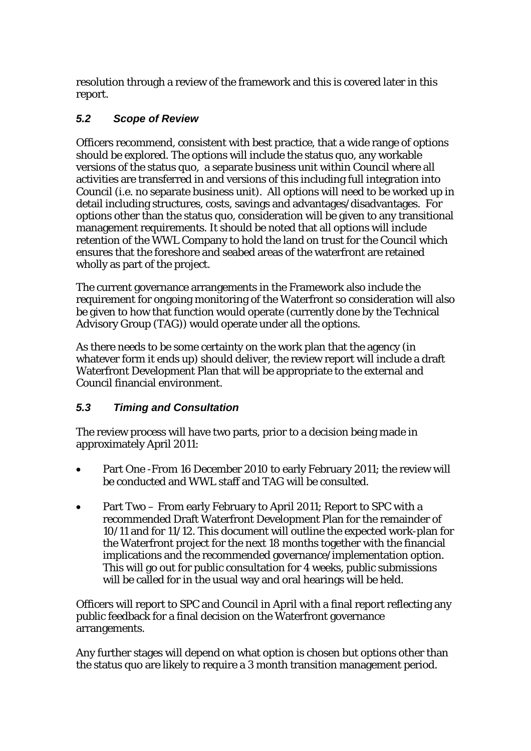resolution through a review of the framework and this is covered later in this report.

### *5.2 Scope of Review*

Officers recommend, consistent with best practice, that a wide range of options should be explored. The options will include the status quo, any workable versions of the status quo, a separate business unit within Council where all activities are transferred in and versions of this including full integration into Council (i.e. no separate business unit). All options will need to be worked up in detail including structures, costs, savings and advantages/disadvantages. For options other than the status quo, consideration will be given to any transitional management requirements. It should be noted that all options will include retention of the WWL Company to hold the land on trust for the Council which ensures that the foreshore and seabed areas of the waterfront are retained wholly as part of the project.

The current governance arrangements in the Framework also include the requirement for ongoing monitoring of the Waterfront so consideration will also be given to how that function would operate (currently done by the Technical Advisory Group (TAG)) would operate under all the options.

As there needs to be some certainty on the work plan that the agency (in whatever form it ends up) should deliver, the review report will include a draft Waterfront Development Plan that will be appropriate to the external and Council financial environment.

### *5.3 Timing and Consultation*

The review process will have two parts, prior to a decision being made in approximately April 2011:

- Part One -From 16 December 2010 to early February 2011; the review will be conducted and WWL staff and TAG will be consulted.
- Part Two From early February to April 2011; Report to SPC with a recommended Draft Waterfront Development Plan for the remainder of 10/11 and for 11/12. This document will outline the expected work-plan for the Waterfront project for the next 18 months together with the financial implications and the recommended governance/implementation option. This will go out for public consultation for 4 weeks, public submissions will be called for in the usual way and oral hearings will be held.

Officers will report to SPC and Council in April with a final report reflecting any public feedback for a final decision on the Waterfront governance arrangements.

Any further stages will depend on what option is chosen but options other than the status quo are likely to require a 3 month transition management period.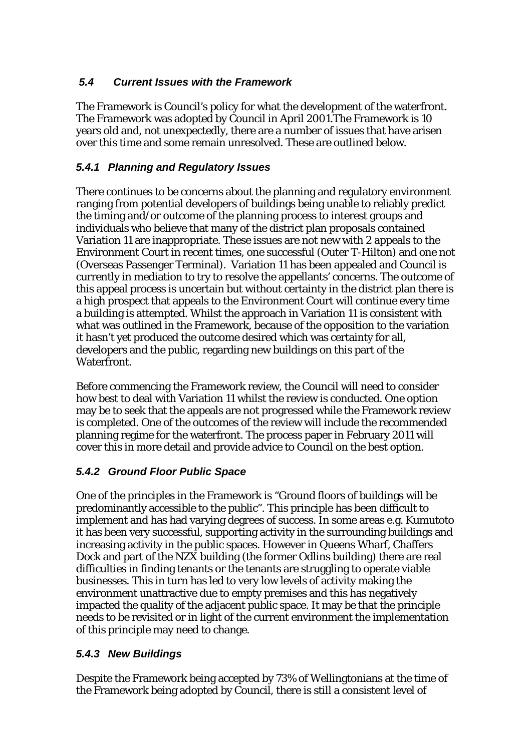### *5.4 Current Issues with the Framework*

The Framework is Council's policy for what the development of the waterfront. The Framework was adopted by Council in April 2001.The Framework is 10 years old and, not unexpectedly, there are a number of issues that have arisen over this time and some remain unresolved. These are outlined below.

### *5.4.1 Planning and Regulatory Issues*

There continues to be concerns about the planning and regulatory environment ranging from potential developers of buildings being unable to reliably predict the timing and/or outcome of the planning process to interest groups and individuals who believe that many of the district plan proposals contained Variation 11 are inappropriate. These issues are not new with 2 appeals to the Environment Court in recent times, one successful (Outer T-Hilton) and one not (Overseas Passenger Terminal). Variation 11 has been appealed and Council is currently in mediation to try to resolve the appellants' concerns. The outcome of this appeal process is uncertain but without certainty in the district plan there is a high prospect that appeals to the Environment Court will continue every time a building is attempted. Whilst the approach in Variation 11 is consistent with what was outlined in the Framework, because of the opposition to the variation it hasn't yet produced the outcome desired which was certainty for all, developers and the public, regarding new buildings on this part of the Waterfront.

Before commencing the Framework review, the Council will need to consider how best to deal with Variation 11 whilst the review is conducted. One option may be to seek that the appeals are not progressed while the Framework review is completed. One of the outcomes of the review will include the recommended planning regime for the waterfront. The process paper in February 2011 will cover this in more detail and provide advice to Council on the best option.

### *5.4.2 Ground Floor Public Space*

One of the principles in the Framework is "Ground floors of buildings will be predominantly accessible to the public". This principle has been difficult to implement and has had varying degrees of success. In some areas e.g. Kumutoto it has been very successful, supporting activity in the surrounding buildings and increasing activity in the public spaces. However in Queens Wharf, Chaffers Dock and part of the NZX building (the former Odlins building) there are real difficulties in finding tenants or the tenants are struggling to operate viable businesses. This in turn has led to very low levels of activity making the environment unattractive due to empty premises and this has negatively impacted the quality of the adjacent public space. It may be that the principle needs to be revisited or in light of the current environment the implementation of this principle may need to change.

#### *5.4.3 New Buildings*

Despite the Framework being accepted by 73% of Wellingtonians at the time of the Framework being adopted by Council, there is still a consistent level of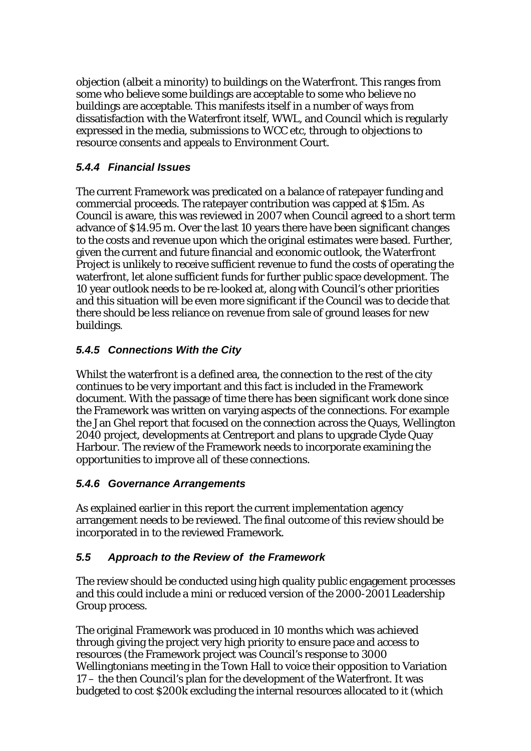objection (albeit a minority) to buildings on the Waterfront. This ranges from some who believe *some* buildings are acceptable to some who believe *no* buildings are acceptable. This manifests itself in a number of ways from dissatisfaction with the Waterfront itself, WWL, and Council which is regularly expressed in the media, submissions to WCC etc, through to objections to resource consents and appeals to Environment Court.

### *5.4.4 Financial Issues*

The current Framework was predicated on a balance of ratepayer funding and commercial proceeds. The ratepayer contribution was capped at \$15m. As Council is aware, this was reviewed in 2007 when Council agreed to a short term advance of \$14.95 m. Over the last 10 years there have been significant changes to the costs and revenue upon which the original estimates were based. Further, given the current and future financial and economic outlook, the Waterfront Project is unlikely to receive sufficient revenue to fund the costs of operating the waterfront, let alone sufficient funds for further public space development. The 10 year outlook needs to be re-looked at, along with Council's other priorities and this situation will be even more significant if the Council was to decide that there should be less reliance on revenue from sale of ground leases for new buildings.

### *5.4.5 Connections With the City*

Whilst the waterfront is a defined area, the connection to the rest of the city continues to be very important and this fact is included in the Framework document. With the passage of time there has been significant work done since the Framework was written on varying aspects of the connections. For example the Jan Ghel report that focused on the connection across the Quays, Wellington 2040 project, developments at Centreport and plans to upgrade Clyde Quay Harbour. The review of the Framework needs to incorporate examining the opportunities to improve all of these connections.

#### *5.4.6 Governance Arrangements*

As explained earlier in this report the current implementation agency arrangement needs to be reviewed. The final outcome of this review should be incorporated in to the reviewed Framework.

#### *5.5 Approach to the Review of the Framework*

The review should be conducted using high quality public engagement processes and this could include a mini or reduced version of the 2000-2001 Leadership Group process.

The original Framework was produced in 10 months which was achieved through giving the project very high priority to ensure pace and access to resources (the Framework project was Council's response to 3000 Wellingtonians meeting in the Town Hall to voice their opposition to Variation 17 – the then Council's plan for the development of the Waterfront. It was budgeted to cost \$200k excluding the internal resources allocated to it (which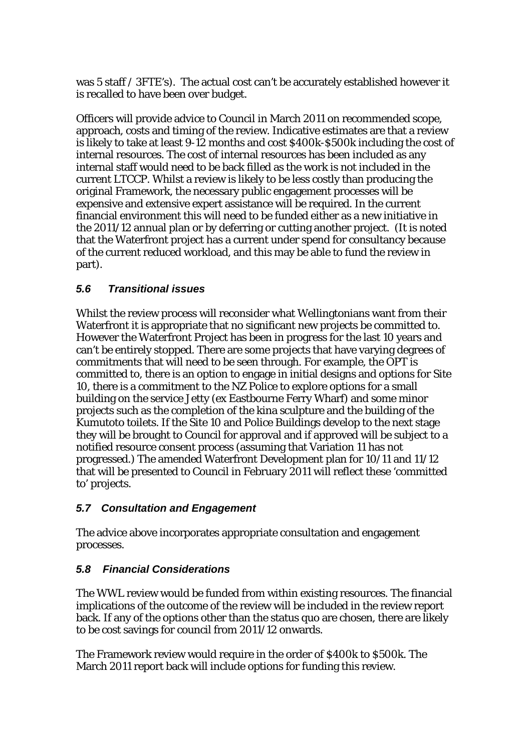was 5 staff / 3FTE's). The actual cost can't be accurately established however it is recalled to have been over budget.

Officers will provide advice to Council in March 2011 on recommended scope, approach, costs and timing of the review. Indicative estimates are that a review is likely to take at least 9-12 months and cost \$400k-\$500k including the cost of internal resources. The cost of internal resources has been included as any internal staff would need to be back filled as the work is not included in the current LTCCP. Whilst a review is likely to be less costly than producing the original Framework, the necessary public engagement processes will be expensive and extensive expert assistance will be required. In the current financial environment this will need to be funded either as a new initiative in the 2011/12 annual plan or by deferring or cutting another project. (It is noted that the Waterfront project has a current under spend for consultancy because of the current reduced workload, and this may be able to fund the review in part).

### *5.6 Transitional issues*

Whilst the review process will reconsider what Wellingtonians want from their Waterfront it is appropriate that no significant new projects be committed to. However the Waterfront Project has been in progress for the last 10 years and can't be entirely stopped. There are some projects that have varying degrees of commitments that will need to be seen through. For example, the OPT is committed to, there is an option to engage in initial designs and options for Site 10, there is a commitment to the NZ Police to explore options for a small building on the service Jetty (ex Eastbourne Ferry Wharf) and some minor projects such as the completion of the kina sculpture and the building of the Kumutoto toilets. If the Site 10 and Police Buildings develop to the next stage they will be brought to Council for approval and if approved will be subject to a notified resource consent process (assuming that Variation 11 has not progressed.) The amended Waterfront Development plan for 10/11 and 11/12 that will be presented to Council in February 2011 will reflect these 'committed to' projects.

#### *5.7 Consultation and Engagement*

The advice above incorporates appropriate consultation and engagement processes.

#### *5.8 Financial Considerations*

The WWL review would be funded from within existing resources. The financial implications of the outcome of the review will be included in the review report back. If any of the options other than the status quo are chosen, there are likely to be cost savings for council from 2011/12 onwards.

The Framework review would require in the order of \$400k to \$500k. The March 2011 report back will include options for funding this review.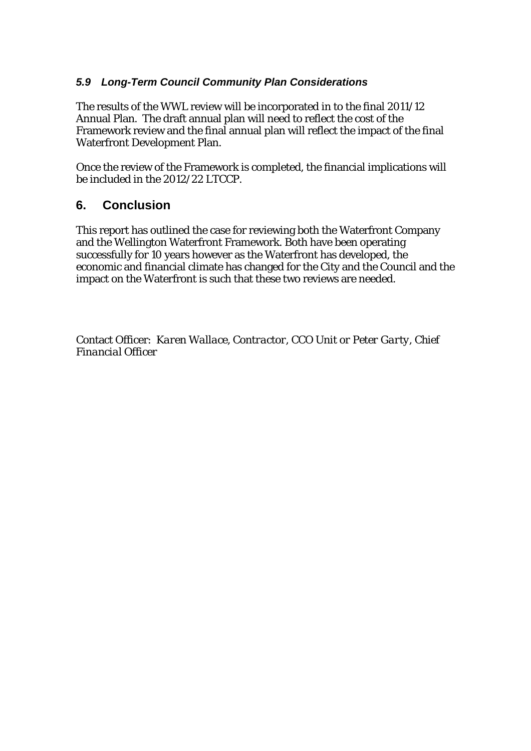#### *5.9 Long-Term Council Community Plan Considerations*

The results of the WWL review will be incorporated in to the final 2011/12 Annual Plan. The draft annual plan will need to reflect the cost of the Framework review and the final annual plan will reflect the impact of the final Waterfront Development Plan.

Once the review of the Framework is completed, the financial implications will be included in the 2012/22 LTCCP.

### **6. Conclusion**

This report has outlined the case for reviewing both the Waterfront Company and the Wellington Waterfront Framework. Both have been operating successfully for 10 years however as the Waterfront has developed, the economic and financial climate has changed for the City and the Council and the impact on the Waterfront is such that these two reviews are needed.

Contact Officer: *Karen Wallace, Contractor, CCO Unit or Peter Garty, Chief Financial Officer*